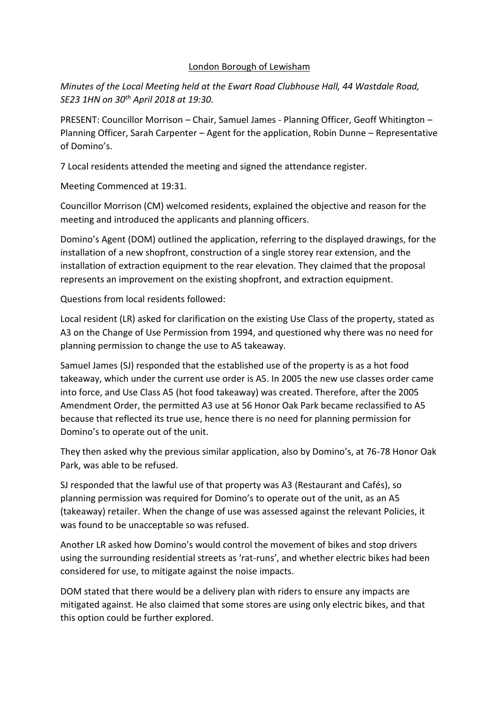# London Borough of Lewisham

*Minutes of the Local Meeting held at the Ewart Road Clubhouse Hall, 44 Wastdale Road, SE23 1HN on 30th April 2018 at 19:30.* 

PRESENT: Councillor Morrison – Chair, Samuel James - Planning Officer, Geoff Whitington – Planning Officer, Sarah Carpenter – Agent for the application, Robin Dunne – Representative of Domino's.

7 Local residents attended the meeting and signed the attendance register.

Meeting Commenced at 19:31.

Councillor Morrison (CM) welcomed residents, explained the objective and reason for the meeting and introduced the applicants and planning officers.

Domino's Agent (DOM) outlined the application, referring to the displayed drawings, for the installation of a new shopfront, construction of a single storey rear extension, and the installation of extraction equipment to the rear elevation. They claimed that the proposal represents an improvement on the existing shopfront, and extraction equipment.

Questions from local residents followed:

Local resident (LR) asked for clarification on the existing Use Class of the property, stated as A3 on the Change of Use Permission from 1994, and questioned why there was no need for planning permission to change the use to A5 takeaway.

Samuel James (SJ) responded that the established use of the property is as a hot food takeaway, which under the current use order is A5. In 2005 the new use classes order came into force, and Use Class A5 (hot food takeaway) was created. Therefore, after the 2005 Amendment Order, the permitted A3 use at 56 Honor Oak Park became reclassified to A5 because that reflected its true use, hence there is no need for planning permission for Domino's to operate out of the unit.

They then asked why the previous similar application, also by Domino's, at 76-78 Honor Oak Park, was able to be refused.

SJ responded that the lawful use of that property was A3 (Restaurant and Cafés), so planning permission was required for Domino's to operate out of the unit, as an A5 (takeaway) retailer. When the change of use was assessed against the relevant Policies, it was found to be unacceptable so was refused.

Another LR asked how Domino's would control the movement of bikes and stop drivers using the surrounding residential streets as 'rat-runs', and whether electric bikes had been considered for use, to mitigate against the noise impacts.

DOM stated that there would be a delivery plan with riders to ensure any impacts are mitigated against. He also claimed that some stores are using only electric bikes, and that this option could be further explored.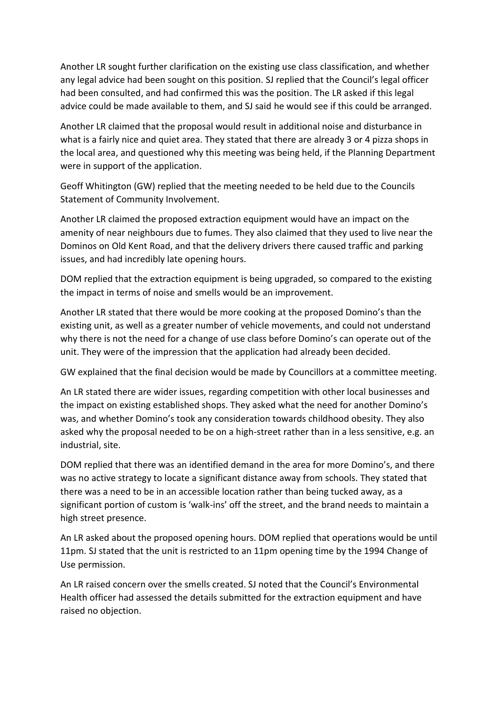Another LR sought further clarification on the existing use class classification, and whether any legal advice had been sought on this position. SJ replied that the Council's legal officer had been consulted, and had confirmed this was the position. The LR asked if this legal advice could be made available to them, and SJ said he would see if this could be arranged.

Another LR claimed that the proposal would result in additional noise and disturbance in what is a fairly nice and quiet area. They stated that there are already 3 or 4 pizza shops in the local area, and questioned why this meeting was being held, if the Planning Department were in support of the application.

Geoff Whitington (GW) replied that the meeting needed to be held due to the Councils Statement of Community Involvement.

Another LR claimed the proposed extraction equipment would have an impact on the amenity of near neighbours due to fumes. They also claimed that they used to live near the Dominos on Old Kent Road, and that the delivery drivers there caused traffic and parking issues, and had incredibly late opening hours.

DOM replied that the extraction equipment is being upgraded, so compared to the existing the impact in terms of noise and smells would be an improvement.

Another LR stated that there would be more cooking at the proposed Domino's than the existing unit, as well as a greater number of vehicle movements, and could not understand why there is not the need for a change of use class before Domino's can operate out of the unit. They were of the impression that the application had already been decided.

GW explained that the final decision would be made by Councillors at a committee meeting.

An LR stated there are wider issues, regarding competition with other local businesses and the impact on existing established shops. They asked what the need for another Domino's was, and whether Domino's took any consideration towards childhood obesity. They also asked why the proposal needed to be on a high-street rather than in a less sensitive, e.g. an industrial, site.

DOM replied that there was an identified demand in the area for more Domino's, and there was no active strategy to locate a significant distance away from schools. They stated that there was a need to be in an accessible location rather than being tucked away, as a significant portion of custom is 'walk-ins' off the street, and the brand needs to maintain a high street presence.

An LR asked about the proposed opening hours. DOM replied that operations would be until 11pm. SJ stated that the unit is restricted to an 11pm opening time by the 1994 Change of Use permission.

An LR raised concern over the smells created. SJ noted that the Council's Environmental Health officer had assessed the details submitted for the extraction equipment and have raised no objection.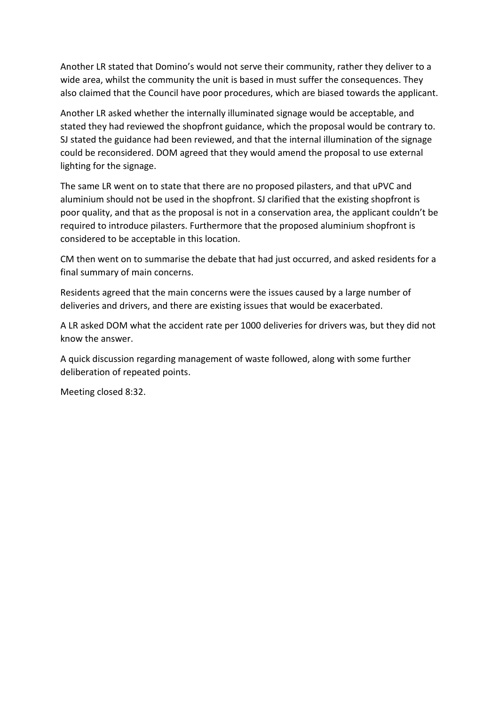Another LR stated that Domino's would not serve their community, rather they deliver to a wide area, whilst the community the unit is based in must suffer the consequences. They also claimed that the Council have poor procedures, which are biased towards the applicant.

Another LR asked whether the internally illuminated signage would be acceptable, and stated they had reviewed the shopfront guidance, which the proposal would be contrary to. SJ stated the guidance had been reviewed, and that the internal illumination of the signage could be reconsidered. DOM agreed that they would amend the proposal to use external lighting for the signage.

The same LR went on to state that there are no proposed pilasters, and that uPVC and aluminium should not be used in the shopfront. SJ clarified that the existing shopfront is poor quality, and that as the proposal is not in a conservation area, the applicant couldn't be required to introduce pilasters. Furthermore that the proposed aluminium shopfront is considered to be acceptable in this location.

CM then went on to summarise the debate that had just occurred, and asked residents for a final summary of main concerns.

Residents agreed that the main concerns were the issues caused by a large number of deliveries and drivers, and there are existing issues that would be exacerbated.

A LR asked DOM what the accident rate per 1000 deliveries for drivers was, but they did not know the answer.

A quick discussion regarding management of waste followed, along with some further deliberation of repeated points.

Meeting closed 8:32.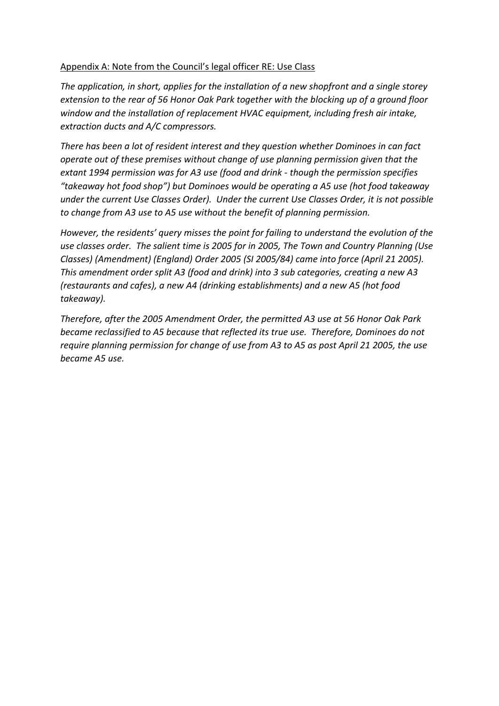# Appendix A: Note from the Council's legal officer RE: Use Class

*The application, in short, applies for the installation of a new shopfront and a single storey extension to the rear of 56 Honor Oak Park together with the blocking up of a ground floor window and the installation of replacement HVAC equipment, including fresh air intake, extraction ducts and A/C compressors.*

*There has been a lot of resident interest and they question whether Dominoes in can fact operate out of these premises without change of use planning permission given that the extant 1994 permission was for A3 use (food and drink - though the permission specifies "takeaway hot food shop") but Dominoes would be operating a A5 use (hot food takeaway under the current Use Classes Order). Under the current Use Classes Order, it is not possible to change from A3 use to A5 use without the benefit of planning permission.*

*However, the residents' query misses the point for failing to understand the evolution of the use classes order. The salient time is 2005 for in 2005, The Town and Country Planning (Use Classes) (Amendment) (England) Order 2005 (SI 2005/84) came into force (April 21 2005). This amendment order split A3 (food and drink) into 3 sub categories, creating a new A3 (restaurants and cafes), a new A4 (drinking establishments) and a new A5 (hot food takeaway).*

*Therefore, after the 2005 Amendment Order, the permitted A3 use at 56 Honor Oak Park became reclassified to A5 because that reflected its true use. Therefore, Dominoes do not require planning permission for change of use from A3 to A5 as post April 21 2005, the use became A5 use.*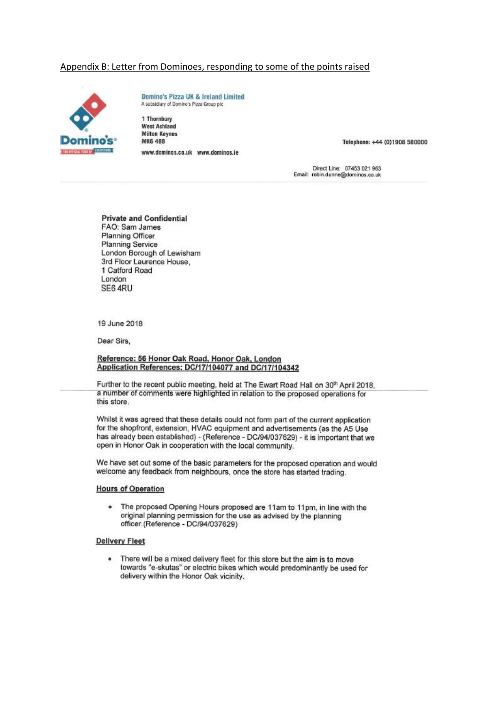## Appendix B: Letter from Dominoes, responding to some of the points raised



Domino's Pizza UK & Ireland Limited A subsidiary of Domino's Pizza Group plc

1 Thornbury **West Ashland Milton Keynes MK6 48B** www.dominos.co.uk www.dominos.ie

Telephone: +44 (0)1908 580000

Direct Line: 07453 021 963<br>Email: robin.dunne@dominos.co.uk

**Private and Confidential** FAO: Sam James Planning Officer **Planning Service** London Borough of Lewisham 3rd Floor Laurence House. 1 Catford Road London SE6 4RU

19 June 2018

Dear Sirs,

#### Reference: 56 Honor Oak Road, Honor Oak, London Application References: DC/17/104077 and DC/17/104342

Further to the recent public meeting, held at The Ewart Road Hall on 30th April 2018. a number of comments were highlighted in relation to the proposed operations for this store.

Whilst it was agreed that these details could not form part of the current application for the shopfront, extension. HVAC equipment and advertisements (as the A5 Use has already been established) - (Reference - DC/94/037629) - it is important that we open in Honor Oak in cooperation with the local community.

We have set out some of the basic parameters for the proposed operation and would welcome any feedback from neighbours, once the store has started trading.

### **Hours of Operation**

• The proposed Opening Hours proposed are 11am to 11pm, in line with the original planning permission for the use as advised by the planning officer. (Reference - DC/94/037629)

### **Delivery Fleet**

. There will be a mixed delivery fleet for this store but the aim is to move towards "e-skutas" or electric bikes which would predominantly be used for delivery within the Honor Oak vicinity.